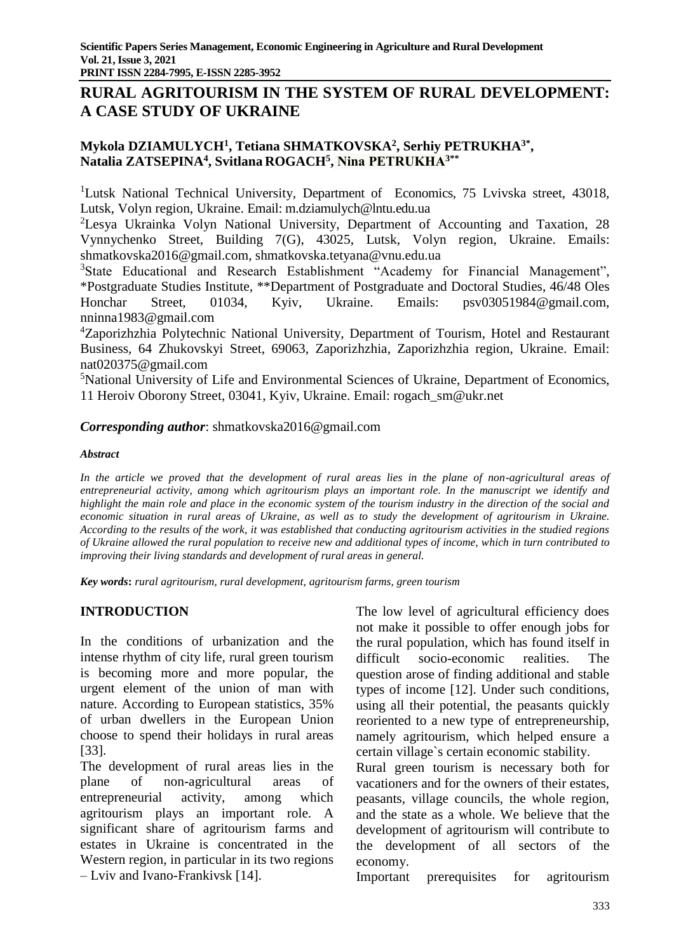# **RURAL AGRITOURISM IN THE SYSTEM OF RURAL DEVELOPMENT: A CASE STUDY OF UKRAINE**

## **Mykola DZIAMULYCH<sup>1</sup> , Tetiana SHMATKOVSKA<sup>2</sup> , Serhiy PETRUKHA3\* , Natalia ZATSEPINA<sup>4</sup> , Svitlana ROGACH<sup>5</sup> , Nina PETRUKHA3\*\***

<sup>1</sup>Lutsk National Technical University, Department of Economics, 75 Lvivska street, 43018, Lutsk, Volyn region, Ukraine. Email: m.dziamulych@lntu.edu.ua

<sup>2</sup>Lesya Ukrainka Volyn National University, Department of Accounting and Taxation, 28 Vynnychenko Street, Building 7(G), 43025, Lutsk, Volyn region, Ukraine. Emails: [shmatkovska2016@gmail.com,](mailto:shmatkovska2016@gmail.com) [shmatkovska.tetyana@vnu.edu.ua](mailto:shmatkovska.tetyana@vnu.edu.ua)

<sup>3</sup>State Educational and Research Establishment "Academy for Financial Management", \*Postgraduate Studies Institute, \*\*Department of Postgraduate and Doctoral Studies, 46/48 Oles Honchar Street, 01034, Kyiv, Ukraine. Emails: psv03051984@gmail.com, nninna1983@gmail.com

<sup>4</sup>Zaporizhzhia Polytechnic National University, Department of Tourism, Hotel and Restaurant Business, 64 Zhukovskyi Street, 69063, Zaporizhzhia, Zaporizhzhia region, Ukraine. Email: nat020375@gmail.com

<sup>5</sup>National University of Life and Environmental Sciences of Ukraine, Department of Economics, 11 Heroiv Oborony Street, 03041, Kyiv, Ukraine. Email: rogach\_sm@ukr.net

## *Corresponding author*: shmatkovska2016@gmail.com

### *Abstract*

*In the article we proved that the development of rural areas lies in the plane of non-agricultural areas of entrepreneurial activity, among which agritourism plays an important role. In the manuscript we identify and highlight the main role and place in the economic system of the tourism industry in the direction of the social and economic situation in rural areas of Ukraine, as well as to study the development of agritourism in Ukraine. According to the results of the work, it was established that conducting agritourism activities in the studied regions of Ukraine allowed the rural population to receive new and additional types of income, which in turn contributed to improving their living standards and development of rural areas in general.*

*Key words***:** *rural agritourism, rural development, agritourism farms, green tourism*

## **INTRODUCTION**

In the conditions of urbanization and the intense rhythm of city life, rural green tourism is becoming more and more popular, the urgent element of the union of man with nature. According to European statistics, 35% of urban dwellers in the European Union choose to spend their holidays in rural areas [33].

The development of rural areas lies in the plane of non-agricultural areas of entrepreneurial activity, among which agritourism plays an important role. A significant share of agritourism farms and estates in Ukraine is concentrated in the Western region, in particular in its two regions – Lviv and Ivano-Frankivsk [14].

The low level of agricultural efficiency does not make it possible to offer enough jobs for the rural population, which has found itself in difficult socio-economic realities. The question arose of finding additional and stable types of income [12]. Under such conditions, using all their potential, the peasants quickly reoriented to a new type of entrepreneurship, namely agritourism, which helped ensure a certain village`s certain economic stability.

Rural green tourism is necessary both for vacationers and for the owners of their estates, peasants, village councils, the whole region, and the state as a whole. We believe that the development of agritourism will contribute to the development of all sectors of the economy.

Important prerequisites for agritourism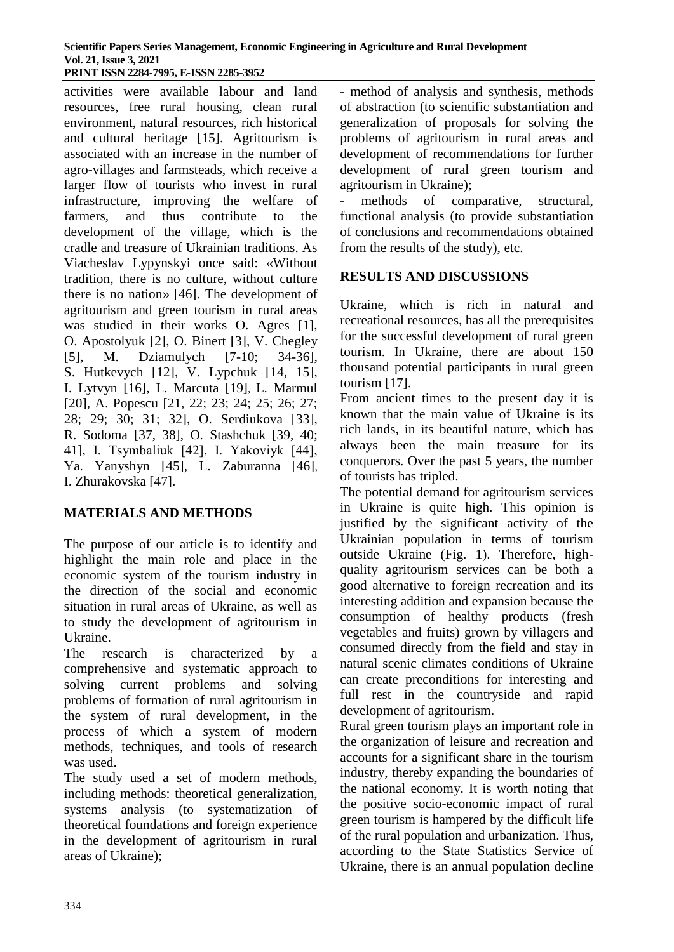activities were available labour and land resources, free rural housing, clean rural environment, natural resources, rich historical and cultural heritage [15]. Agritourism is associated with an increase in the number of agro-villages and farmsteads, which receive a larger flow of tourists who invest in rural infrastructure, improving the welfare of farmers, and thus contribute to the development of the village, which is the cradle and treasure of Ukrainian traditions. As Viacheslav Lypynskyi once said: «Without tradition, there is no culture, without culture there is no nation» [46]. The development of agritourism and green tourism in rural areas was studied in their works O. Agres [1], O. Apostolyuk [2], O. Binert [3], V. Chegley [5], M. Dziamulych [7-10; 34-36], S. Hutkevych [12], V. Lypchuk [14, 15], I. Lytvyn [16], L. Marcuta [19], L. Marmul [20], A. Popescu [21, 22; 23; 24; 25; 26; 27; 28; 29; 30; 31; 32], O. Serdiukova [33], R. Sodoma [37, 38], O. Stashchuk [39, 40; 41], I. Tsymbaliuk [42], І. Yakoviyk [44], Ya. Yanyshyn [45], L. Zaburanna [46], I. Zhurakovska [47].

# **MATERIALS AND METHODS**

The purpose of our article is to identify and highlight the main role and place in the economic system of the tourism industry in the direction of the social and economic situation in rural areas of Ukraine, as well as to study the development of agritourism in Ukraine.

The research is characterized by a comprehensive and systematic approach to solving current problems and solving problems of formation of rural agritourism in the system of rural development, in the process of which a system of modern methods, techniques, and tools of research was used.

The study used a set of modern methods, including methods: theoretical generalization, systems analysis (to systematization of theoretical foundations and foreign experience in the development of agritourism in rural areas of Ukraine);

- method of analysis and synthesis, methods of abstraction (to scientific substantiation and generalization of proposals for solving the problems of agritourism in rural areas and development of recommendations for further development of rural green tourism and agritourism in Ukraine);

methods of comparative, structural, functional analysis (to provide substantiation of conclusions and recommendations obtained from the results of the study), etc.

## **RESULTS AND DISCUSSIONS**

Ukraine, which is rich in natural and recreational resources, has all the prerequisites for the successful development of rural green tourism. In Ukraine, there are about 150 thousand potential participants in rural green tourism [17].

From ancient times to the present day it is known that the main value of Ukraine is its rich lands, in its beautiful nature, which has always been the main treasure for its conquerors. Over the past 5 years, the number of tourists has tripled.

The potential demand for agritourism services in Ukraine is quite high. This opinion is justified by the significant activity of the Ukrainian population in terms of tourism outside Ukraine (Fig. 1). Therefore, highquality agritourism services can be both a good alternative to foreign recreation and its interesting addition and expansion because the consumption of healthy products (fresh vegetables and fruits) grown by villagers and consumed directly from the field and stay in natural scenic climates conditions of Ukraine can create preconditions for interesting and full rest in the countryside and rapid development of agritourism.

Rural green tourism plays an important role in the organization of leisure and recreation and accounts for a significant share in the tourism industry, thereby expanding the boundaries of the national economy. It is worth noting that the positive socio-economic impact of rural green tourism is hampered by the difficult life of the rural population and urbanization. Thus, according to the State Statistics Service of Ukraine, there is an annual population decline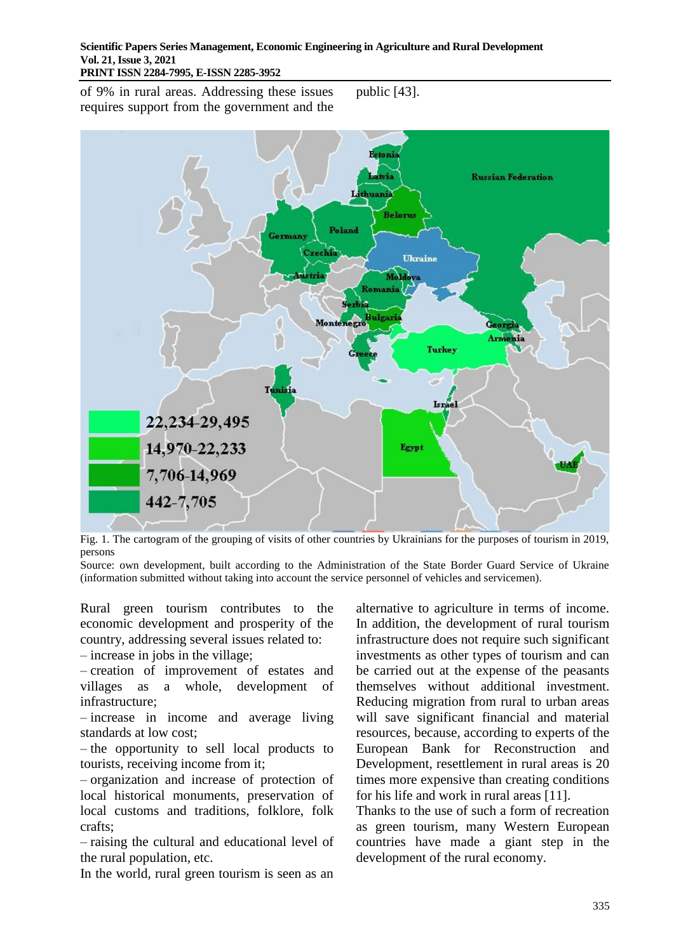of 9% in rural areas. Addressing these issues requires support from the government and the public [43].



Fig. 1. The cartogram of the grouping of visits of other countries by Ukrainians for the purposes of tourism in 2019, persons

Source: own development, built according to the Administration of the State Border Guard Service of Ukraine (information submitted without taking into account the service personnel of vehicles and servicemen).

Rural green tourism contributes to the economic development and prosperity of the country, addressing several issues related to:

– increase in jobs in the village;

– creation of improvement of estates and villages as a whole, development of infrastructure;

– increase in income and average living standards at low cost;

– the opportunity to sell local products to tourists, receiving income from it;

– organization and increase of protection of local historical monuments, preservation of local customs and traditions, folklore, folk crafts;

– raising the cultural and educational level of the rural population, etc.

In the world, rural green tourism is seen as an

alternative to agriculture in terms of income. In addition, the development of rural tourism infrastructure does not require such significant investments as other types of tourism and can be carried out at the expense of the peasants themselves without additional investment. Reducing migration from rural to urban areas will save significant financial and material resources, because, according to experts of the European Bank for Reconstruction and Development, resettlement in rural areas is 20 times more expensive than creating conditions for his life and work in rural areas [11].

Thanks to the use of such a form of recreation as green tourism, many Western European countries have made a giant step in the development of the rural economy.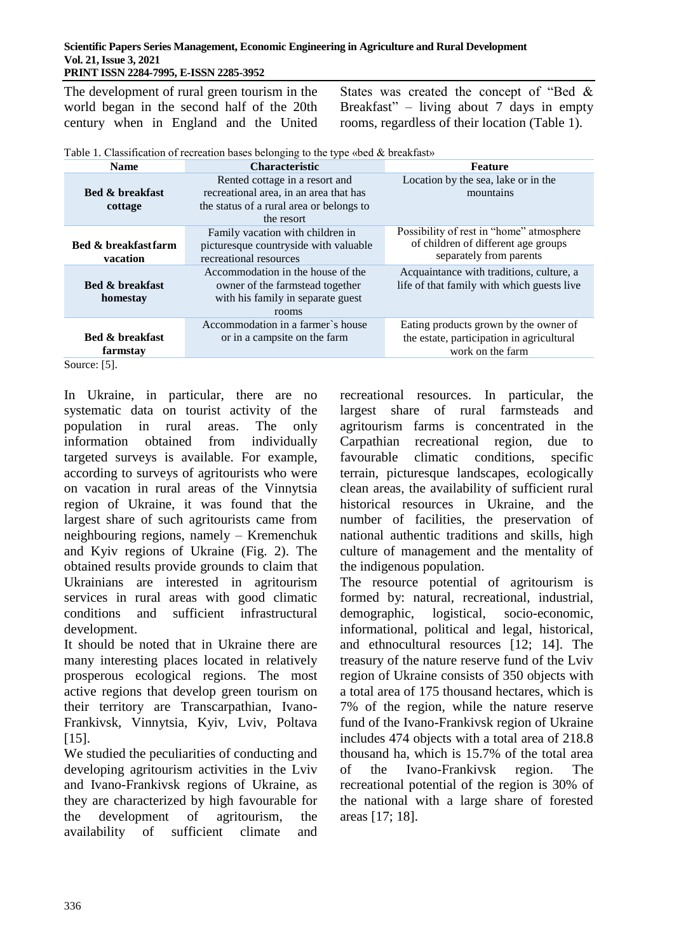The development of rural green tourism in the world began in the second half of the 20th century when in England and the United

States was created the concept of "Bed & Breakfast" – living about 7 days in empty rooms, regardless of their location (Table 1).

| Table 1. Classification of recreation bases belonging to the type «bed & breakfast» |  |  |  |
|-------------------------------------------------------------------------------------|--|--|--|
|                                                                                     |  |  |  |

| <b>Characteristic</b><br><b>Name</b> |                                          | <b>Feature</b>                             |  |  |
|--------------------------------------|------------------------------------------|--------------------------------------------|--|--|
|                                      | Rented cottage in a resort and           | Location by the sea, lake or in the        |  |  |
| <b>Bed &amp; breakfast</b>           | recreational area, in an area that has   | mountains                                  |  |  |
| cottage                              | the status of a rural area or belongs to |                                            |  |  |
|                                      | the resort                               |                                            |  |  |
|                                      | Family vacation with children in         | Possibility of rest in "home" atmosphere   |  |  |
| <b>Bed &amp; breakfastfarm</b>       | picturesque countryside with valuable    | of children of different age groups        |  |  |
| vacation                             | recreational resources                   | separately from parents                    |  |  |
|                                      | Accommodation in the house of the        | Acquaintance with traditions, culture, a   |  |  |
| <b>Bed &amp; breakfast</b>           | owner of the farmstead together          | life of that family with which guests live |  |  |
| homestay                             | with his family in separate guest        |                                            |  |  |
|                                      | rooms                                    |                                            |  |  |
|                                      | Accommodation in a farmer's house        | Eating products grown by the owner of      |  |  |
| <b>Bed &amp; breakfast</b>           | or in a campsite on the farm             | the estate, participation in agricultural  |  |  |
| farmstay                             |                                          | work on the farm                           |  |  |
| $\sim$<br><b>FF1</b>                 |                                          |                                            |  |  |

Source: [5].

In Ukraine, in particular, there are no systematic data on tourist activity of the population in rural areas. The only information obtained from individually targeted surveys is available. For example, according to surveys of agritourists who were on vacation in rural areas of the Vinnytsia region of Ukraine, it was found that the largest share of such agritourists came from neighbouring regions, namely – Kremenchuk and Kyiv regions of Ukraine (Fig. 2). The obtained results provide grounds to claim that Ukrainians are interested in agritourism services in rural areas with good climatic conditions and sufficient infrastructural development.

It should be noted that in Ukraine there are many interesting places located in relatively prosperous ecological regions. The most active regions that develop green tourism on their territory are Transcarpathian, Ivano-Frankivsk, Vinnytsia, Kyiv, Lviv, Poltava [15].

We studied the peculiarities of conducting and developing agritourism activities in the Lviv and Ivano-Frankivsk regions of Ukraine, as they are characterized by high favourable for the development of agritourism, the availability of sufficient climate and recreational resources. In particular, the largest share of rural farmsteads and agritourism farms is concentrated in the Carpathian recreational region, due to favourable climatic conditions, specific terrain, picturesque landscapes, ecologically clean areas, the availability of sufficient rural historical resources in Ukraine, and the number of facilities, the preservation of national authentic traditions and skills, high culture of management and the mentality of the indigenous population.

The resource potential of agritourism is formed by: natural, recreational, industrial, demographic, logistical, socio-economic, informational, political and legal, historical, and ethnocultural resources [12; 14]. The treasury of the nature reserve fund of the Lviv region of Ukraine consists of 350 objects with a total area of 175 thousand hectares, which is 7% of the region, while the nature reserve fund of the Ivano-Frankivsk region of Ukraine includes 474 objects with a total area of 218.8 thousand ha, which is 15.7% of the total area of the Ivano-Frankivsk region. The recreational potential of the region is 30% of the national with a large share of forested areas [17; 18].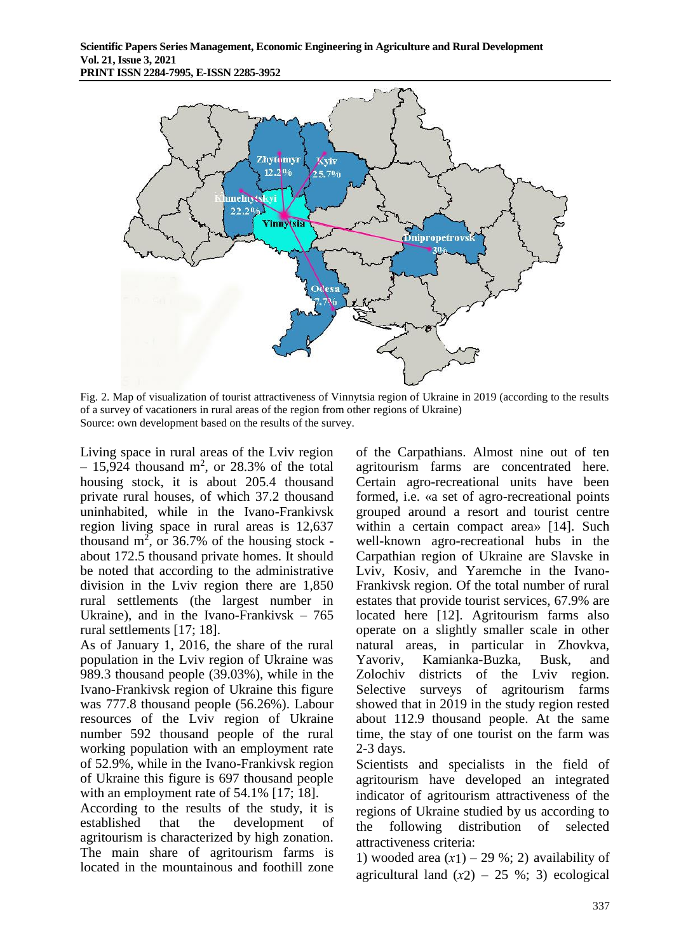

Fig. 2. Map of visualization of tourist attractiveness of Vinnytsia region of Ukraine in 2019 (according to the results of a survey of vacationers in rural areas of the region from other regions of Ukraine) Source: own development based on the results of the survey.

Living space in rural areas of the Lviv region  $-15,924$  thousand m<sup>2</sup>, or 28.3% of the total housing stock, it is about 205.4 thousand private rural houses, of which 37.2 thousand uninhabited, while in the Ivano-Frankivsk region living space in rural areas is 12,637 thousand  $m^2$ , or 36.7% of the housing stock about 172.5 thousand private homes. It should be noted that according to the administrative division in the Lviv region there are 1,850 rural settlements (the largest number in Ukraine), and in the Ivano-Frankivsk – 765 rural settlements [17; 18].

As of January 1, 2016, the share of the rural population in the Lviv region of Ukraine was 989.3 thousand people (39.03%), while in the Ivano-Frankivsk region of Ukraine this figure was 777.8 thousand people (56.26%). Labour resources of the Lviv region of Ukraine number 592 thousand people of the rural working population with an employment rate of 52.9%, while in the Ivano-Frankivsk region of Ukraine this figure is 697 thousand people with an employment rate of 54.1% [17; 18].

According to the results of the study, it is established that the development of agritourism is characterized by high zonation. The main share of agritourism farms is located in the mountainous and foothill zone

of the Carpathians. Almost nine out of ten agritourism farms are concentrated here. Certain agro-recreational units have been formed, i.e. «a set of agro-recreational points grouped around a resort and tourist centre within a certain compact area» [14]. Such well-known agro-recreational hubs in the Carpathian region of Ukraine are Slavske in Lviv, Kosiv, and Yaremche in the Ivano-Frankivsk region. Of the total number of rural estates that provide tourist services, 67.9% are located here [12]. Agritourism farms also operate on a slightly smaller scale in other natural areas, in particular in Zhovkva, Yavoriv, Kamianka-Buzka, Busk, and Zolochiv districts of the Lviv region. Selective surveys of agritourism farms showed that in 2019 in the study region rested about 112.9 thousand people. At the same time, the stay of one tourist on the farm was 2-3 days.

Scientists and specialists in the field of agritourism have developed an integrated indicator of agritourism attractiveness of the regions of Ukraine studied by us according to the following distribution of selected attractiveness criteria:

1) wooded area  $(x1)$  – 29 %; 2) availability of agricultural land  $(x2) - 25$  %; 3) ecological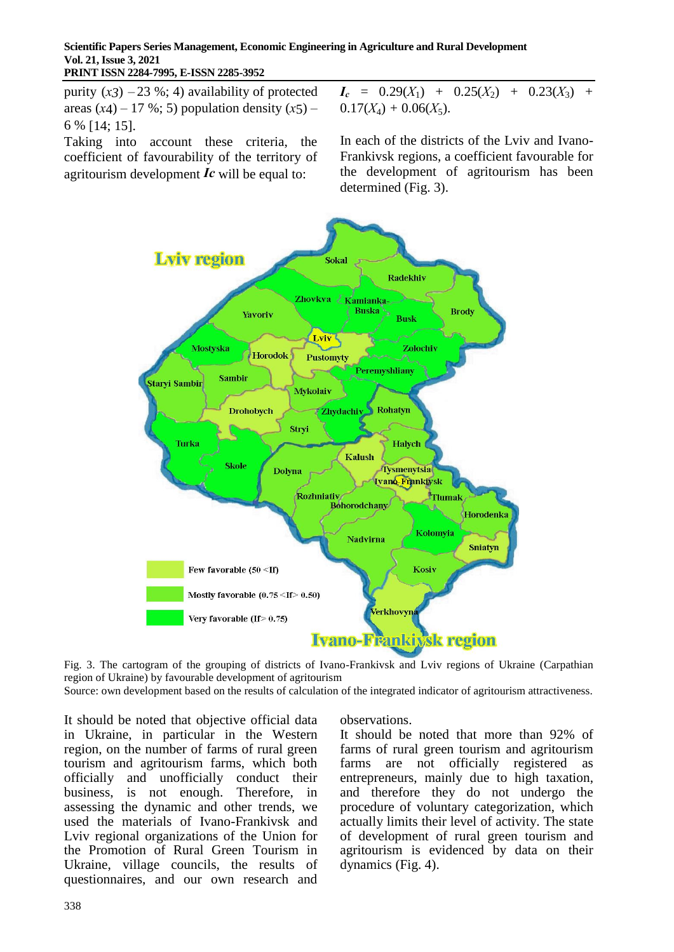purity  $(x3)$  – 23 %; 4) availability of protected areas  $(x4)$  – 17 %; 5) population density  $(x5)$  – 6 % [14; 15].

Taking into account these criteria, the coefficient of favourability of the territory of agritourism development *Іс* will be equal to:

 $I_c = 0.29(X_1) + 0.25(X_2) + 0.23(X_3) +$  $0.17(X_4) + 0.06(X_5).$ 

In each of the districts of the Lviv and Ivano-Frankivsk regions, a coefficient favourable for the development of agritourism has been determined (Fig. 3).



Fig. 3. The cartogram of the grouping of districts of Ivano-Frankivsk and Lviv regions of Ukraine (Carpathian region of Ukraine) by favourable development of agritourism

Source: own development based on the results of calculation of the integrated indicator of agritourism attractiveness.

It should be noted that objective official data in Ukraine, in particular in the Western region, on the number of farms of rural green tourism and agritourism farms, which both officially and unofficially conduct their business, is not enough. Therefore, in assessing the dynamic and other trends, we used the materials of Ivano-Frankivsk and Lviv regional organizations of the Union for the Promotion of Rural Green Tourism in Ukraine, village councils, the results of questionnaires, and our own research and observations.

It should be noted that more than 92% of farms of rural green tourism and agritourism farms are not officially registered as entrepreneurs, mainly due to high taxation, and therefore they do not undergo the procedure of voluntary categorization, which actually limits their level of activity. The state of development of rural green tourism and agritourism is evidenced by data on their dynamics (Fig. 4).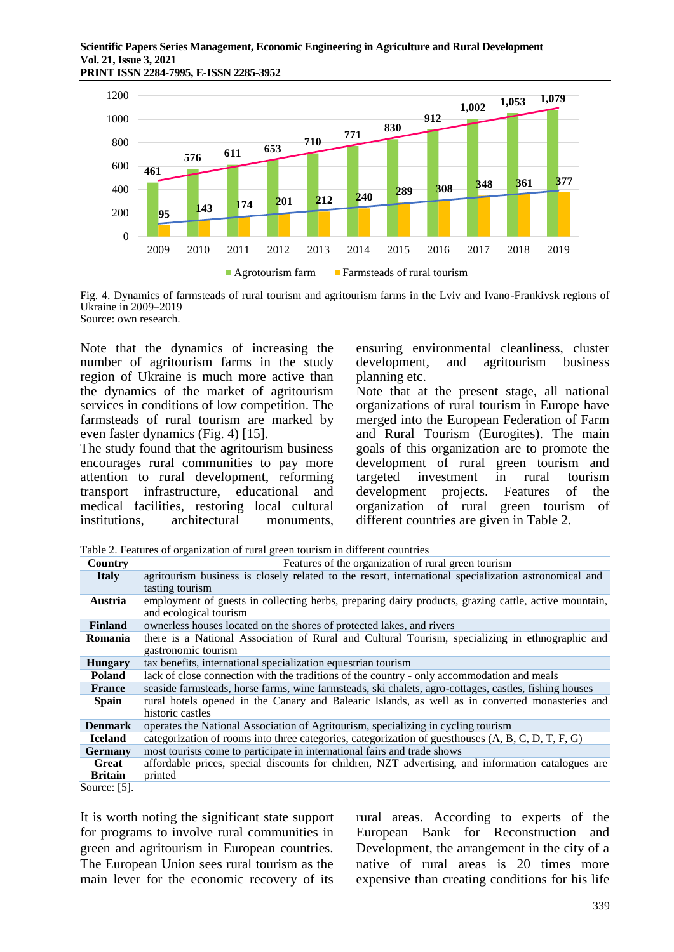

Fig. 4. Dynamics of farmsteads of rural tourism and agritourism farms in the Lviv and Ivano-Frankivsk regions of Ukraine in 2009–2019

Source: own research.

Note that the dynamics of increasing the number of agritourism farms in the study region of Ukraine is much more active than the dynamics of the market of agritourism services in conditions of low competition. The farmsteads of rural tourism are marked by even faster dynamics (Fig. 4) [15].

The study found that the agritourism business encourages rural communities to pay more attention to rural development, reforming transport infrastructure, educational and medical facilities, restoring local cultural institutions, architectural monuments,

ensuring environmental cleanliness, cluster development, and agritourism business planning etc.

Note that at the present stage, all national organizations of rural tourism in Europe have merged into the European Federation of Farm and Rural Tourism (Eurogites). The main goals of this organization are to promote the development of rural green tourism and<br>targeted investment in rural tourism investment development projects. Features of the organization of rural green tourism of different countries are given in Table 2.

Table 2. Features of organization of rural green tourism in different countries

| Country         | Features of the organization of rural green tourism                                                                            |
|-----------------|--------------------------------------------------------------------------------------------------------------------------------|
| <b>Italy</b>    | agritourism business is closely related to the resort, international specialization astronomical and                           |
|                 | tasting tourism                                                                                                                |
| <b>Austria</b>  | employment of guests in collecting herbs, preparing dairy products, grazing cattle, active mountain,<br>and ecological tourism |
| <b>Finland</b>  | ownerless houses located on the shores of protected lakes, and rivers                                                          |
| <b>Romania</b>  | there is a National Association of Rural and Cultural Tourism, specializing in ethnographic and<br>gastronomic tourism         |
| <b>Hungary</b>  | tax benefits, international specialization equestrian tourism                                                                  |
| <b>Poland</b>   | lack of close connection with the traditions of the country - only accommodation and meals                                     |
| <b>France</b>   | seaside farmsteads, horse farms, wine farmsteads, ski chalets, agro-cottages, castles, fishing houses                          |
| <b>Spain</b>    | rural hotels opened in the Canary and Balearic Islands, as well as in converted monasteries and<br>historic castles            |
| <b>Denmark</b>  | operates the National Association of Agritourism, specializing in cycling tourism                                              |
| <b>Iceland</b>  | categorization of rooms into three categories, categorization of guesthouses (A, B, C, D, T, F, G)                             |
| <b>Germany</b>  | most tourists come to participate in international fairs and trade shows                                                       |
| Great           | affordable prices, special discounts for children, NZT advertising, and information catalogues are                             |
| <b>Britain</b>  | printed                                                                                                                        |
| Source: $[5]$ . |                                                                                                                                |

It is worth noting the significant state support for programs to involve rural communities in green and agritourism in European countries. The European Union sees rural tourism as the main lever for the economic recovery of its rural areas. According to experts of the European Bank for Reconstruction and Development, the arrangement in the city of a native of rural areas is 20 times more expensive than creating conditions for his life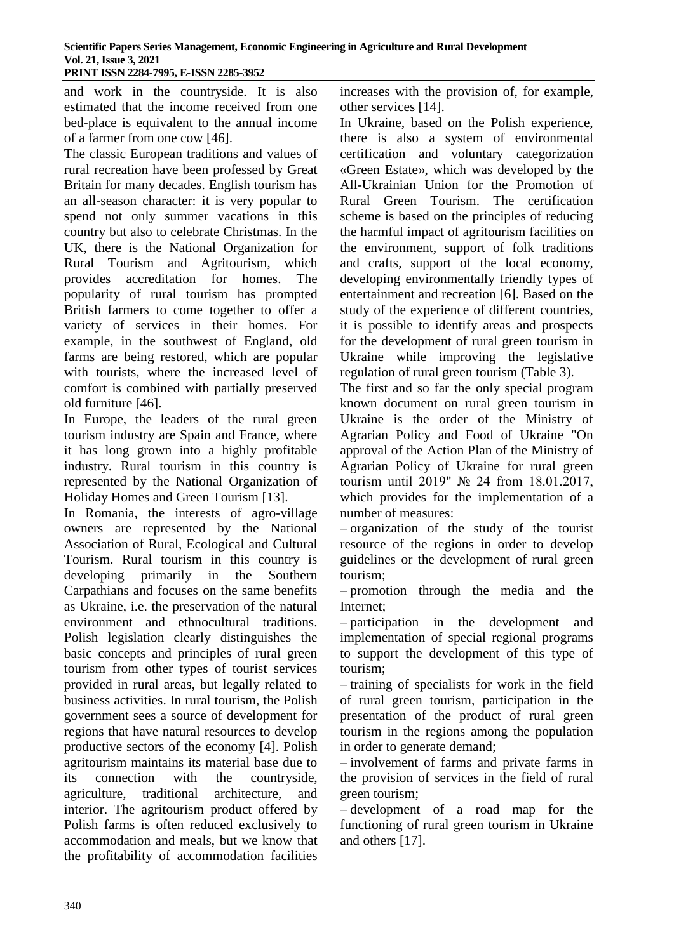and work in the countryside. It is also estimated that the income received from one bed-place is equivalent to the annual income of a farmer from one cow [46].

The classic European traditions and values of rural recreation have been professed by Great Britain for many decades. English tourism has an all-season character: it is very popular to spend not only summer vacations in this country but also to celebrate Christmas. In the UK, there is the National Organization for Rural Tourism and Agritourism, which provides accreditation for homes. The popularity of rural tourism has prompted British farmers to come together to offer a variety of services in their homes. For example, in the southwest of England, old farms are being restored, which are popular with tourists, where the increased level of comfort is combined with partially preserved old furniture [46].

In Europe, the leaders of the rural green tourism industry are Spain and France, where it has long grown into a highly profitable industry. Rural tourism in this country is represented by the National Organization of Holiday Homes and Green Tourism [13].

In Romania, the interests of agro-village owners are represented by the National Association of Rural, Ecological and Cultural Tourism. Rural tourism in this country is developing primarily in the Southern Carpathians and focuses on the same benefits as Ukraine, i.e. the preservation of the natural environment and ethnocultural traditions. Polish legislation clearly distinguishes the basic concepts and principles of rural green tourism from other types of tourist services provided in rural areas, but legally related to business activities. In rural tourism, the Polish government sees a source of development for regions that have natural resources to develop productive sectors of the economy [4]. Polish agritourism maintains its material base due to its connection with the countryside, agriculture, traditional architecture, and interior. The agritourism product offered by Polish farms is often reduced exclusively to accommodation and meals, but we know that the profitability of accommodation facilities

increases with the provision of, for example, other services [14].

In Ukraine, based on the Polish experience, there is also a system of environmental certification and voluntary categorization «Green Estate», which was developed by the All-Ukrainian Union for the Promotion of Rural Green Tourism. The certification scheme is based on the principles of reducing the harmful impact of agritourism facilities on the environment, support of folk traditions and crafts, support of the local economy, developing environmentally friendly types of entertainment and recreation [6]. Based on the study of the experience of different countries, it is possible to identify areas and prospects for the development of rural green tourism in Ukraine while improving the legislative regulation of rural green tourism (Table 3).

The first and so far the only special program known document on rural green tourism in Ukraine is the order of the Ministry of Agrarian Policy and Food of Ukraine "On approval of the Action Plan of the Ministry of Agrarian Policy of Ukraine for rural green tourism until 2019" № 24 from 18.01.2017, which provides for the implementation of a number of measures:

– organization of the study of the tourist resource of the regions in order to develop guidelines or the development of rural green tourism;

– promotion through the media and the Internet;

– participation in the development and implementation of special regional programs to support the development of this type of tourism;

– training of specialists for work in the field of rural green tourism, participation in the presentation of the product of rural green tourism in the regions among the population in order to generate demand;

– involvement of farms and private farms in the provision of services in the field of rural green tourism;

– development of a road map for the functioning of rural green tourism in Ukraine and others [17].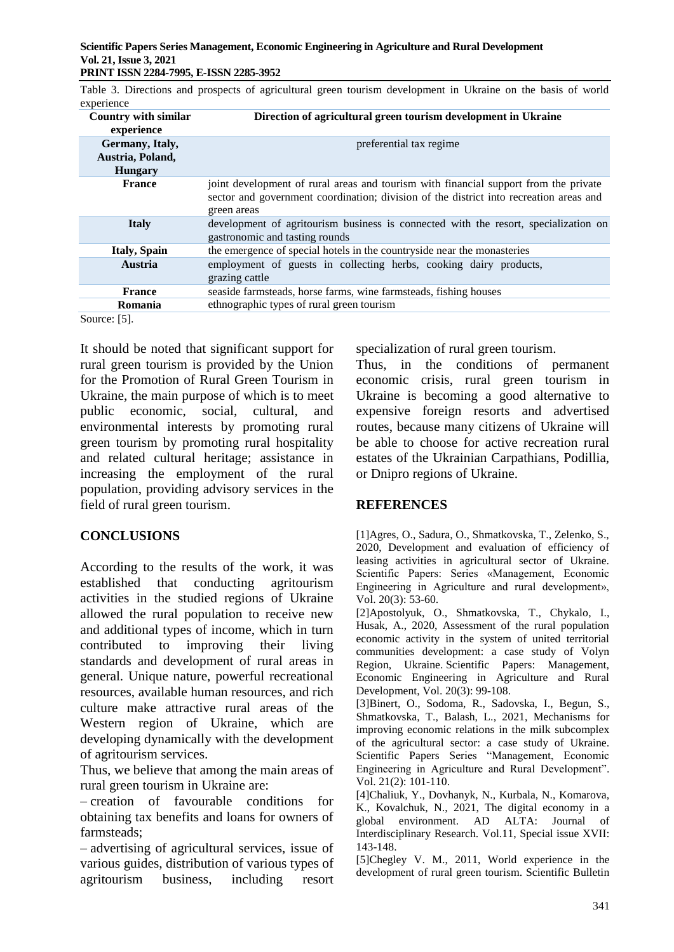Table 3. Directions and prospects of agricultural green tourism development in Ukraine on the basis of world experience

| Country with similar<br>experience                    | Direction of agricultural green tourism development in Ukraine                                                                                                                                |
|-------------------------------------------------------|-----------------------------------------------------------------------------------------------------------------------------------------------------------------------------------------------|
| Germany, Italy,<br>Austria, Poland,<br><b>Hungary</b> | preferential tax regime                                                                                                                                                                       |
| <b>France</b>                                         | joint development of rural areas and tourism with financial support from the private<br>sector and government coordination; division of the district into recreation areas and<br>green areas |
| <b>Italy</b>                                          | development of agritourism business is connected with the resort, specialization on<br>gastronomic and tasting rounds                                                                         |
| <b>Italy, Spain</b>                                   | the emergence of special hotels in the countryside near the monasteries                                                                                                                       |
| <b>Austria</b>                                        | employment of guests in collecting herbs, cooking dairy products,<br>grazing cattle                                                                                                           |
| <b>France</b>                                         | seaside farmsteads, horse farms, wine farmsteads, fishing houses                                                                                                                              |
| Romania                                               | ethnographic types of rural green tourism                                                                                                                                                     |
| $C_{\text{mass}}$ $\left[\text{E}\right]$             |                                                                                                                                                                                               |

Source: [5].

It should be noted that significant support for rural green tourism is provided by the Union for the Promotion of Rural Green Tourism in Ukraine, the main purpose of which is to meet public economic, social, cultural, and environmental interests by promoting rural green tourism by promoting rural hospitality and related cultural heritage; assistance in increasing the employment of the rural population, providing advisory services in the field of rural green tourism.

### **CONCLUSIONS**

According to the results of the work, it was established that conducting agritourism activities in the studied regions of Ukraine allowed the rural population to receive new and additional types of income, which in turn contributed to improving their living standards and development of rural areas in general. Unique nature, powerful recreational resources, available human resources, and rich culture make attractive rural areas of the Western region of Ukraine, which are developing dynamically with the development of agritourism services.

Thus, we believe that among the main areas of rural green tourism in Ukraine are:

– creation of favourable conditions for obtaining tax benefits and loans for owners of farmsteads;

– advertising of agricultural services, issue of various guides, distribution of various types of agritourism business, including resort

specialization of rural green tourism.

Thus, in the conditions of permanent economic crisis, rural green tourism in Ukraine is becoming a good alternative to expensive foreign resorts and advertised routes, because many citizens of Ukraine will be able to choose for active recreation rural estates of the Ukrainian Carpathians, Podillia, or Dnipro regions of Ukraine.

### **REFERENCES**

[1]Agres, O., Sadura, O., Shmatkovska, T., Zelenko, S., 2020, Development and evaluation of efficiency of leasing activities in agricultural sector of Ukraine. Scientific Papers: Series «Management, Economic Engineering in Agriculture and rural development», Vol. 20(3): 53-60.

[2]Apostolyuk, O., Shmatkovska, T., Chykalo, I., Husak, A., 2020, Assessment of the rural population economic activity in the system of united territorial communities development: a case study of Volyn Region, Ukraine. Scientific Papers: Management, Economic Engineering in Agriculture and Rural Development, Vol. 20(3): 99-108.

[3]Binert, O., Sodoma, R., Sadovska, I., Begun, S., Shmatkovska, T., Balash, L., 2021, Mechanisms for improving economic relations in the milk subcomplex of the agricultural sector: a case study of Ukraine. Scientific Papers Series "Management, Economic Engineering in Agriculture and Rural Development". Vol. 21(2): 101-110.

[4]Chaliuk, Y., Dovhanyk, N., Kurbala, N., Komarova, K., Kovalchuk, N., 2021, The digital economy in a global environment. AD ALTA: Journal of Interdisciplinary Research. Vol.11, Special issue XVII: 143-148.

[5]Chegley V. M., 2011, World experience in the development of rural green tourism. Scientific Bulletin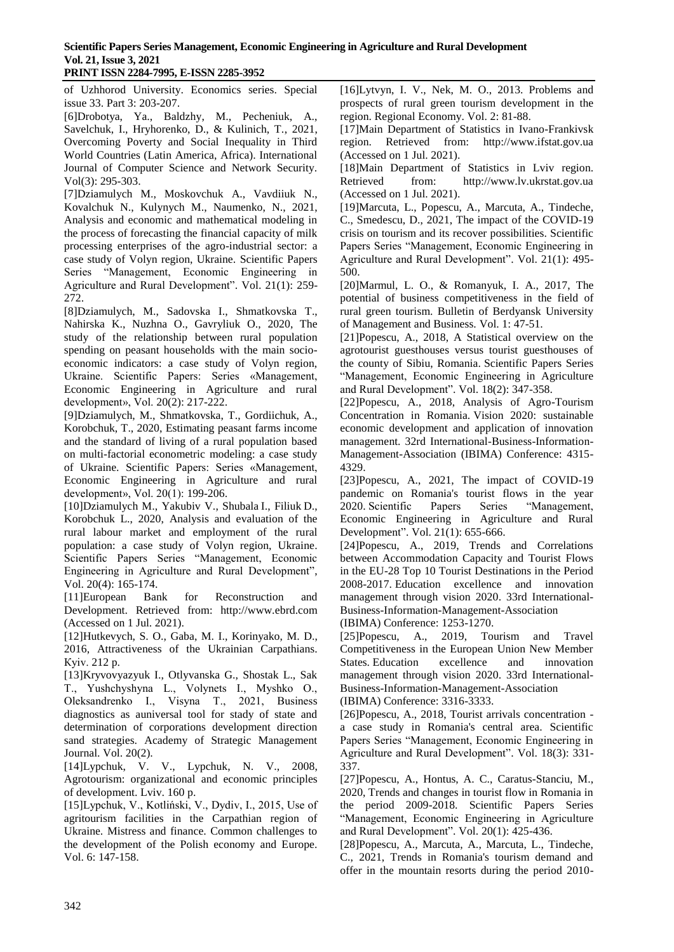of Uzhhorod University. Economics series. Special issue 33. Part 3: 203-207.

[6]Drobotya, Ya., Baldzhy, M., Pecheniuk, A., Savelchuk, I., Hryhorenko, D., & Kulinich, T., 2021, Overcoming Poverty and Social Inequality in Third World Countries (Latin America, Africa). International Journal of Computer Science and Network Security. Vol(3): 295-303.

[7]Dziamulych M., Moskovchuk A., Vavdiiuk N., Kovalchuk N., Kulynych M., Naumenko, N., 2021, Analysis and economic and mathematical modeling in the process of forecasting the financial capacity of milk processing enterprises of the agro-industrial sector: a case study of Volyn region, Ukraine. Scientific Papers Series "Management, Economic Engineering in Agriculture and Rural Development". Vol. 21(1): 259- 272.

[8]Dziamulych, M., Sadovska I., Shmatkovska T., Nahirska K., Nuzhna O., Gavryliuk O., 2020, The study of the relationship between rural population spending on peasant households with the main socioeconomic indicators: a case study of Volyn region, Ukraine. Scientific Papers: Series «Management, Economic Engineering in Agriculture and rural development», Vol. 20(2): 217-222.

[9]Dziamulych, M., Shmatkovska, T., Gordiichuk, A., Korobchuk, T., 2020, Estimating peasant farms income and the standard of living of a rural population based on multi-factorial econometric modeling: a case study of Ukraine. Scientific Papers: Series «Management, Economic Engineering in Agriculture and rural development», Vol. 20(1): 199-206.

[10]Dziamulych M., Yakubiv V., Shubala I., Filiuk D., Korobchuk L., 2020, Analysis and evaluation of the rural labour market and employment of the rural population: a case study of Volyn region, Ukraine. Scientific Papers Series "Management, Economic Engineering in Agriculture and Rural Development", Vol. 20(4): 165-174.

[11]European Bank for Reconstruction and Development. Retrieved from: http://www.ebrd.com (Accessed on 1 Jul. 2021).

[12]Hutkevych, S. O., Gaba, M. I., Korinyako, M. D., 2016, Attractiveness of the Ukrainian Carpathians. Кyiv. 212 p.

[13]Kryvovyazyuk I., Otlyvanska G., Shostak L., Sak T., Yushchyshyna L., Volynets I., Myshko О., Oleksandrenko І., Visyna T., 2021, Business diagnostics as auniversal tool for stady of state and determination of corporations development direction sand strategies. Academy of Strategic Management Journal. Vol. 20(2).

[14]Lypchuk, V. V., Lypchuk, N. V., 2008, Agrotourism: organizational and economic principles of development. Lviv. 160 p.

[15]Lypchuk, V., Kotliński, V., Dydiv, I., 2015, Use of agritourism facilities in the Carpathian region of Ukraine. Mistress and finance. Common challenges to the development of the Polish economy and Europe. Vol. 6: 147-158.

[16]Lytvyn, I. V., Nek, M. O., 2013. Problems and prospects of rural green tourism development in the region. Regional Economy. Vol. 2: 81-88.

[17]Main Department of Statistics in Ivano-Frankivsk region. Retrieved from: http://www.ifstat.gov.ua (Accessed on 1 Jul. 2021).

[18]Main Department of Statistics in Lviv region. Retrieved from: http://www.lv.ukrstat.gov.ua (Accessed on 1 Jul. 2021).

[19]Marcuta, L., Popescu, A., Marcuta, A., Tindeche, C., Smedescu, D., 2021, The impact of the COVID-19 crisis on tourism and its recover possibilities. Scientific Papers Series "Management, Economic Engineering in Agriculture and Rural Development". Vol. 21(1): 495- 500.

[20]Marmul, L. O., & Romanyuk, I. A., 2017, The potential of business competitiveness in the field of rural green tourism. Bulletin of Berdyansk University of Management and Business. Vol. 1: 47-51.

[21]Popescu, A., 2018, A Statistical overview on the agrotourist guesthouses versus tourist guesthouses of the county of Sibiu, Romania. Scientific Papers Series "Management, Economic Engineering in Agriculture and Rural Development". Vol. 18(2): 347-358.

[22]Popescu, A., 2018, Analysis of Agro-Tourism Concentration in Romania. Vision 2020: sustainable economic development and application of innovation management. 32rd International-Business-Information-Management-Association (IBIMA) Conference: 4315- 4329.

[23]Popescu, A., 2021, The impact of COVID-19 pandemic on Romania's tourist flows in the year 2020. Scientific Papers Series "Management, Economic Engineering in Agriculture and Rural Development". Vol. 21(1): 655-666.

[24]Popescu, A., 2019, Trends and Correlations between Accommodation Capacity and Tourist Flows in the EU-28 Top 10 Tourist Destinations in the Period 2008-2017. Education excellence and innovation management through vision 2020. 33rd International-Business-Information-Management-Association

(IBIMA) Conference: 1253-1270.

[25]Popescu, A., 2019, Tourism and Travel Competitiveness in the European Union New Member States. Education excellence and innovation management through vision 2020. 33rd International-Business-Information-Management-Association

(IBIMA) Conference: 3316-3333.

[26]Popescu, A., 2018, Tourist arrivals concentration a case study in Romania's central area. Scientific Papers Series "Management, Economic Engineering in Agriculture and Rural Development". Vol. 18(3): 331- 337.

[27]Popescu, A., Hontus, A. C., Caratus-Stanciu, M., 2020, Trends and changes in tourist flow in Romania in the period 2009-2018. Scientific Papers Series "Management, Economic Engineering in Agriculture and Rural Development". Vol. 20(1): 425-436.

[28]Popescu, A., Marcuta, A., Marcuta, L., Tindeche, C., 2021, Trends in Romania's tourism demand and offer in the mountain resorts during the period 2010-